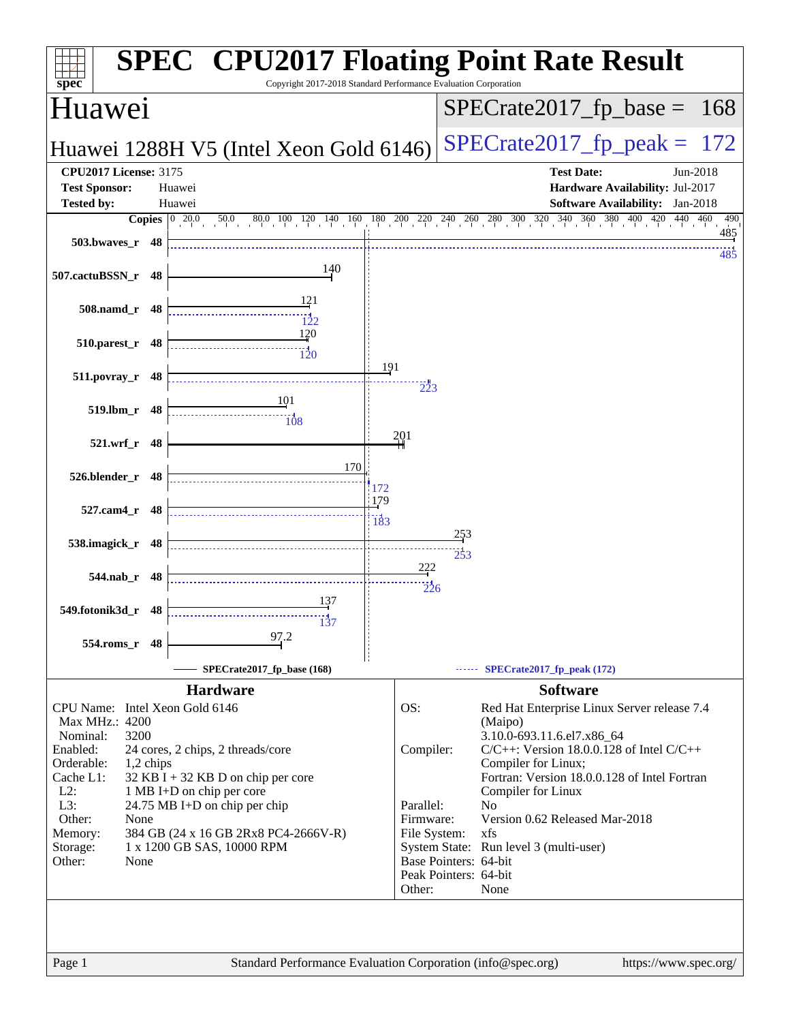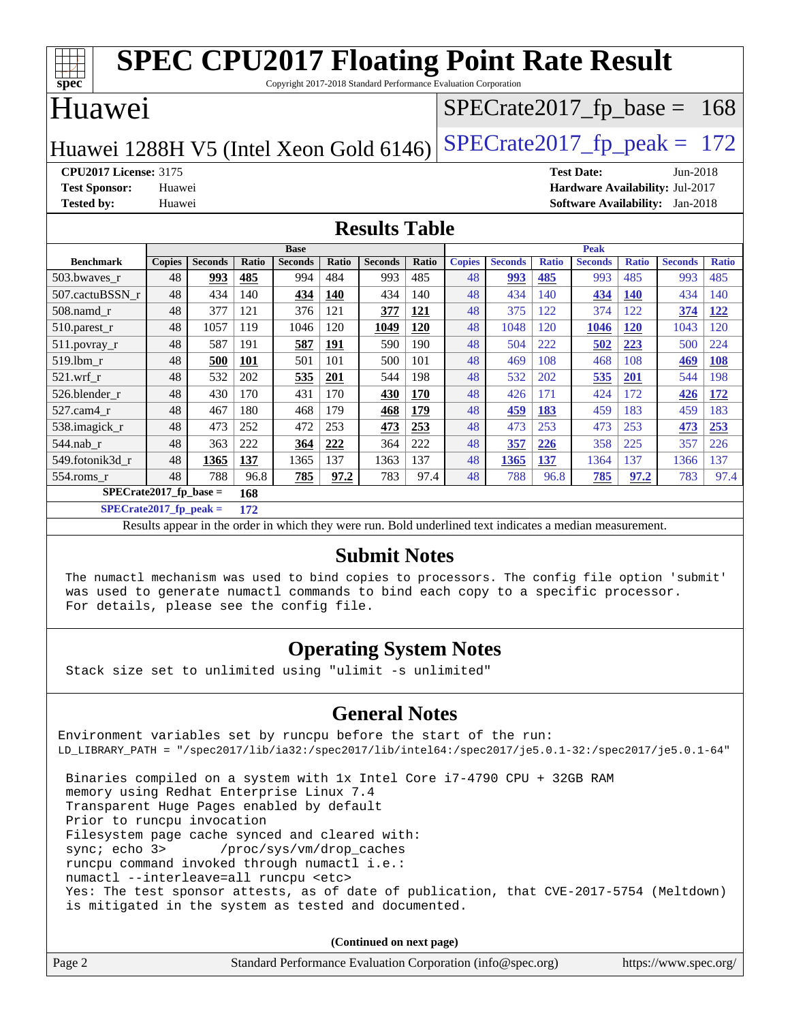| <b>SPEC CPU2017 Floating Point Rate Result</b><br>┌<br>spec<br>Copyright 2017-2018 Standard Performance Evaluation Corporation |                                           |                |       |                |            |                |       |               |                |              |                               |              |                |              |
|--------------------------------------------------------------------------------------------------------------------------------|-------------------------------------------|----------------|-------|----------------|------------|----------------|-------|---------------|----------------|--------------|-------------------------------|--------------|----------------|--------------|
|                                                                                                                                | Huawei                                    |                |       |                |            |                |       |               |                |              | $SPECTate2017_fp\_base = 168$ |              |                |              |
| $SPECrate2017_fp\_peak = 172$<br>Huawei 1288H V5 (Intel Xeon Gold 6146)                                                        |                                           |                |       |                |            |                |       |               |                |              |                               |              |                |              |
| <b>CPU2017 License: 3175</b><br><b>Test Date:</b><br>$Jun-2018$                                                                |                                           |                |       |                |            |                |       |               |                |              |                               |              |                |              |
| <b>Test Sponsor:</b><br>Hardware Availability: Jul-2017<br>Huawei                                                              |                                           |                |       |                |            |                |       |               |                |              |                               |              |                |              |
| <b>Tested by:</b>                                                                                                              | Software Availability: Jan-2018<br>Huawei |                |       |                |            |                |       |               |                |              |                               |              |                |              |
| <b>Results Table</b>                                                                                                           |                                           |                |       |                |            |                |       |               |                |              |                               |              |                |              |
|                                                                                                                                |                                           |                |       | <b>Base</b>    |            |                |       |               |                |              | <b>Peak</b>                   |              |                |              |
| <b>Benchmark</b>                                                                                                               | <b>Copies</b>                             | <b>Seconds</b> | Ratio | <b>Seconds</b> | Ratio      | <b>Seconds</b> | Ratio | <b>Copies</b> | <b>Seconds</b> | <b>Ratio</b> | <b>Seconds</b>                | <b>Ratio</b> | <b>Seconds</b> | <b>Ratio</b> |
| 503.bwayes r                                                                                                                   | 48                                        | 993            | 485   | 994            | 484        | 993            | 485   | 48            | 993            | 485          | 993                           | 485          | 993            | 485          |
| 507.cactuBSSN r                                                                                                                | 48                                        | 434            | 140   | 434            | <b>140</b> | 434            | 140   | 48            | 434            | 140          | 434                           | <b>140</b>   | 434            | 140          |
| 508.namd_r                                                                                                                     | 48                                        | 377            | 121   | 376            | 121        | 377            | 121   | 48            | 375            | 122          | 374                           | 122          | 374            | 122          |
| $510.parest_r$                                                                                                                 | 48                                        | 1057           | 119   | 1046           | 120        | 1049           | 120   | 48            | 1048           | 120          | 1046                          | <b>120</b>   | 1043           | 120          |
| $511.$ povray_r                                                                                                                | 48                                        | 587            | 191   | 587            | 191        | 590            | 190   | 48            | 504            | 222          | 502                           | 223          | 500            | 224          |
| 519.lbm r                                                                                                                      | 48                                        | 500            | 101   | 501            | 101        | 500            | 101   | 48            | 469            | 108          | 468                           | 108          | 469            | 108          |
| $521$ .wrf r                                                                                                                   | 48                                        | 532            | 202   | 535            | 201        | 544            | 198   | 48            | 532            | 202          | 535                           | 201          | 544            | 198          |
| 526.blender_r                                                                                                                  | 48                                        | 430            | 170   | 431            | 170        | 430            | 170   | 48            | 426            | 171          | 424                           | 172          | 426            | 172          |
| 527.cam4_r                                                                                                                     | 48                                        | 467            | 180   | 468            | 179        | 468            | 179   | 48            | 459            | 183          | 459                           | 183          | 459            | 183          |
| 538.imagick r                                                                                                                  | 48                                        | 473            | 252   | 472            | 253        | 473            | 253   | 48            | 473            | 253          | 473                           | 253          | 473            | 253          |
| 544.nab r                                                                                                                      | 48                                        | 363            | 222   | 364            | 222        | 364            | 222   | 48            | 357            | 226          | 358                           | 225          | 357            | 226          |
| 549.fotonik3d r                                                                                                                | 48                                        | 1365           | 137   | 1365           | 137        | 1363           | 137   | 48            | 1365           | 137          | 1364                          | 137          | 1366           | 137          |
| 554.roms_r                                                                                                                     | 48                                        | 788            | 96.8  | 785            | 97.2       | 783            | 97.4  | 48            | 788            | 96.8         | 785                           | 97.2         | 783            | 97.4         |
|                                                                                                                                | $SPECrate2017$ fp base =<br>168           |                |       |                |            |                |       |               |                |              |                               |              |                |              |

**[SPECrate2017\\_fp\\_peak =](http://www.spec.org/auto/cpu2017/Docs/result-fields.html#SPECrate2017fppeak) 172**

Results appear in the [order in which they were run.](http://www.spec.org/auto/cpu2017/Docs/result-fields.html#RunOrder) Bold underlined text [indicates a median measurement.](http://www.spec.org/auto/cpu2017/Docs/result-fields.html#Median)

#### **[Submit Notes](http://www.spec.org/auto/cpu2017/Docs/result-fields.html#SubmitNotes)**

 The numactl mechanism was used to bind copies to processors. The config file option 'submit' was used to generate numactl commands to bind each copy to a specific processor. For details, please see the config file.

#### **[Operating System Notes](http://www.spec.org/auto/cpu2017/Docs/result-fields.html#OperatingSystemNotes)**

Stack size set to unlimited using "ulimit -s unlimited"

#### **[General Notes](http://www.spec.org/auto/cpu2017/Docs/result-fields.html#GeneralNotes)**

Environment variables set by runcpu before the start of the run: LD\_LIBRARY\_PATH = "/spec2017/lib/ia32:/spec2017/lib/intel64:/spec2017/je5.0.1-32:/spec2017/je5.0.1-64" Binaries compiled on a system with 1x Intel Core i7-4790 CPU + 32GB RAM memory using Redhat Enterprise Linux 7.4 Transparent Huge Pages enabled by default Prior to runcpu invocation Filesystem page cache synced and cleared with:

sync; echo 3> /proc/sys/vm/drop\_caches

runcpu command invoked through numactl i.e.:

numactl --interleave=all runcpu <etc>

 Yes: The test sponsor attests, as of date of publication, that CVE-2017-5754 (Meltdown) is mitigated in the system as tested and documented.

**(Continued on next page)**

| Page 2 | Standard Performance Evaluation Corporation (info@spec.org) | https://www.spec.org/ |
|--------|-------------------------------------------------------------|-----------------------|
|        |                                                             |                       |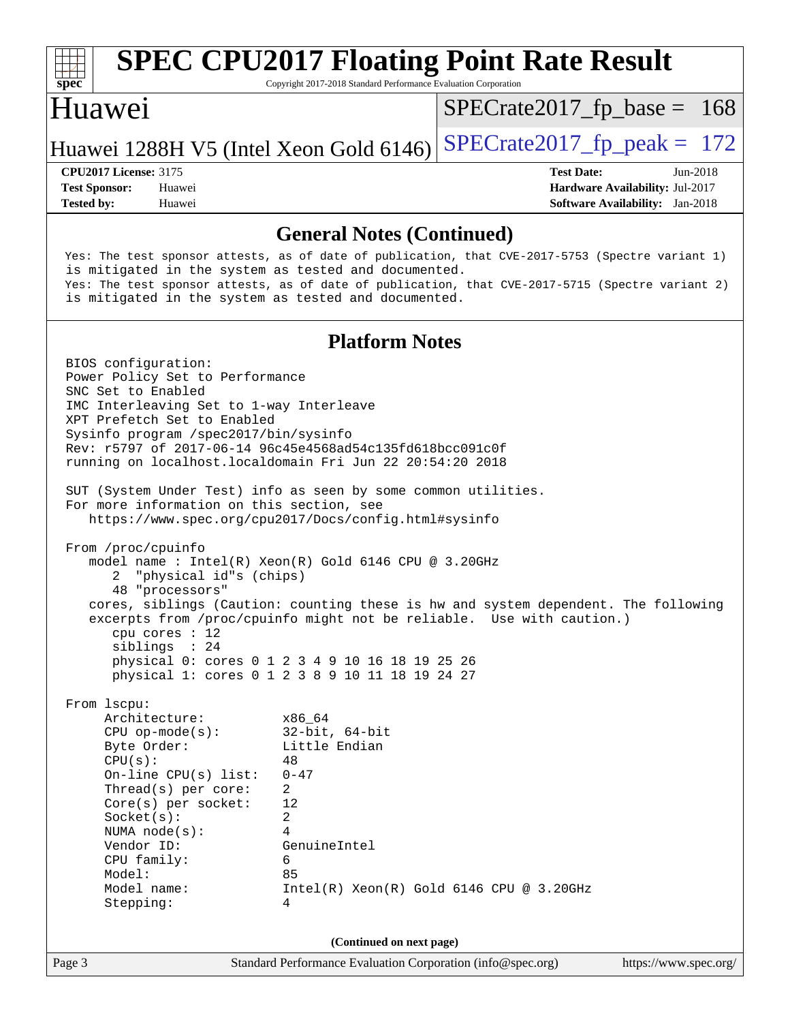

# **[SPEC CPU2017 Floating Point Rate Result](http://www.spec.org/auto/cpu2017/Docs/result-fields.html#SPECCPU2017FloatingPointRateResult)**

Copyright 2017-2018 Standard Performance Evaluation Corporation

#### Huawei

 $SPECTate2017_fp\_base = 168$ 

#### Huawei 1288H V5 (Intel Xeon Gold  $6146$ ) [SPECrate2017\\_fp\\_peak =](http://www.spec.org/auto/cpu2017/Docs/result-fields.html#SPECrate2017fppeak) 172

**[Tested by:](http://www.spec.org/auto/cpu2017/Docs/result-fields.html#Testedby)** Huawei **[Software Availability:](http://www.spec.org/auto/cpu2017/Docs/result-fields.html#SoftwareAvailability)** Jan-2018

**[CPU2017 License:](http://www.spec.org/auto/cpu2017/Docs/result-fields.html#CPU2017License)** 3175 **[Test Date:](http://www.spec.org/auto/cpu2017/Docs/result-fields.html#TestDate)** Jun-2018 **[Test Sponsor:](http://www.spec.org/auto/cpu2017/Docs/result-fields.html#TestSponsor)** Huawei **[Hardware Availability:](http://www.spec.org/auto/cpu2017/Docs/result-fields.html#HardwareAvailability)** Jul-2017

#### **[General Notes \(Continued\)](http://www.spec.org/auto/cpu2017/Docs/result-fields.html#GeneralNotes)**

 Yes: The test sponsor attests, as of date of publication, that CVE-2017-5753 (Spectre variant 1) is mitigated in the system as tested and documented. Yes: The test sponsor attests, as of date of publication, that CVE-2017-5715 (Spectre variant 2) is mitigated in the system as tested and documented.

#### **[Platform Notes](http://www.spec.org/auto/cpu2017/Docs/result-fields.html#PlatformNotes)**

Page 3 Standard Performance Evaluation Corporation [\(info@spec.org\)](mailto:info@spec.org) <https://www.spec.org/> BIOS configuration: Power Policy Set to Performance SNC Set to Enabled IMC Interleaving Set to 1-way Interleave XPT Prefetch Set to Enabled Sysinfo program /spec2017/bin/sysinfo Rev: r5797 of 2017-06-14 96c45e4568ad54c135fd618bcc091c0f running on localhost.localdomain Fri Jun 22 20:54:20 2018 SUT (System Under Test) info as seen by some common utilities. For more information on this section, see <https://www.spec.org/cpu2017/Docs/config.html#sysinfo> From /proc/cpuinfo model name : Intel(R) Xeon(R) Gold 6146 CPU @ 3.20GHz 2 "physical id"s (chips) 48 "processors" cores, siblings (Caution: counting these is hw and system dependent. The following excerpts from /proc/cpuinfo might not be reliable. Use with caution.) cpu cores : 12 siblings : 24 physical 0: cores 0 1 2 3 4 9 10 16 18 19 25 26 physical 1: cores 0 1 2 3 8 9 10 11 18 19 24 27 From lscpu: Architecture: x86\_64 CPU op-mode(s): 32-bit, 64-bit Byte Order: Little Endian  $CPU(s):$  48 On-line CPU(s) list: 0-47 Thread(s) per core: 2 Core(s) per socket: 12 Socket(s): 2 NUMA node(s): 4 Vendor ID: GenuineIntel CPU family: 6 Model: 85 Model name: Intel(R) Xeon(R) Gold 6146 CPU @ 3.20GHz Stepping: 4 **(Continued on next page)**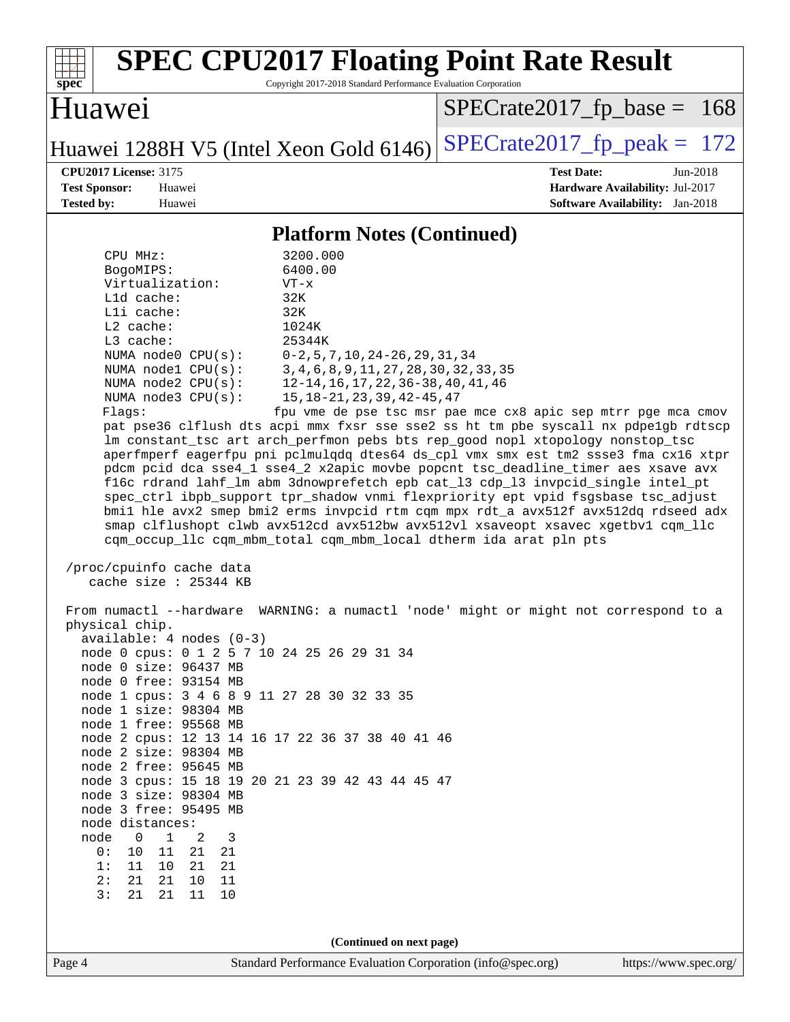| <b>SPEC CPU2017 Floating Point Rate Result</b><br>Copyright 2017-2018 Standard Performance Evaluation Corporation<br>spec                                                                                                                                                                                                                                                                                                                                                                                                                                                                                                                                                                                                                                                                                                                                                                                                                                                                                                                                                                                                                                                                                                                                                                                                                                                                                                                                                                                                                                                                                                                                                                                                                                                                                                                                                                                                                                                                                             |                                                                                                            |
|-----------------------------------------------------------------------------------------------------------------------------------------------------------------------------------------------------------------------------------------------------------------------------------------------------------------------------------------------------------------------------------------------------------------------------------------------------------------------------------------------------------------------------------------------------------------------------------------------------------------------------------------------------------------------------------------------------------------------------------------------------------------------------------------------------------------------------------------------------------------------------------------------------------------------------------------------------------------------------------------------------------------------------------------------------------------------------------------------------------------------------------------------------------------------------------------------------------------------------------------------------------------------------------------------------------------------------------------------------------------------------------------------------------------------------------------------------------------------------------------------------------------------------------------------------------------------------------------------------------------------------------------------------------------------------------------------------------------------------------------------------------------------------------------------------------------------------------------------------------------------------------------------------------------------------------------------------------------------------------------------------------------------|------------------------------------------------------------------------------------------------------------|
| Huawei                                                                                                                                                                                                                                                                                                                                                                                                                                                                                                                                                                                                                                                                                                                                                                                                                                                                                                                                                                                                                                                                                                                                                                                                                                                                                                                                                                                                                                                                                                                                                                                                                                                                                                                                                                                                                                                                                                                                                                                                                | $SPECrate2017_fp\_base = 168$                                                                              |
| Huawei 1288H V5 (Intel Xeon Gold 6146)                                                                                                                                                                                                                                                                                                                                                                                                                                                                                                                                                                                                                                                                                                                                                                                                                                                                                                                                                                                                                                                                                                                                                                                                                                                                                                                                                                                                                                                                                                                                                                                                                                                                                                                                                                                                                                                                                                                                                                                | $SPECTate2017$ _fp_peak = 172                                                                              |
| <b>CPU2017 License: 3175</b><br><b>Test Sponsor:</b><br>Huawei<br><b>Tested by:</b><br>Huawei                                                                                                                                                                                                                                                                                                                                                                                                                                                                                                                                                                                                                                                                                                                                                                                                                                                                                                                                                                                                                                                                                                                                                                                                                                                                                                                                                                                                                                                                                                                                                                                                                                                                                                                                                                                                                                                                                                                         | <b>Test Date:</b><br>Jun-2018<br>Hardware Availability: Jul-2017<br><b>Software Availability:</b> Jan-2018 |
| <b>Platform Notes (Continued)</b>                                                                                                                                                                                                                                                                                                                                                                                                                                                                                                                                                                                                                                                                                                                                                                                                                                                                                                                                                                                                                                                                                                                                                                                                                                                                                                                                                                                                                                                                                                                                                                                                                                                                                                                                                                                                                                                                                                                                                                                     |                                                                                                            |
| CPU MHz:<br>3200.000<br>6400.00<br>BogoMIPS:<br>Virtualization:<br>$VT - x$<br>Lld cache:<br>32K<br>Lli cache:<br>32K<br>$L2$ cache:<br>1024K<br>L3 cache:<br>25344K<br>NUMA node0 CPU(s):<br>$0-2, 5, 7, 10, 24-26, 29, 31, 34$<br>NUMA nodel CPU(s):<br>3, 4, 6, 8, 9, 11, 27, 28, 30, 32, 33, 35<br>NUMA node2 CPU(s):<br>12-14, 16, 17, 22, 36-38, 40, 41, 46<br>NUMA node3 CPU(s):<br>15, 18 - 21, 23, 39, 42 - 45, 47<br>Flags:<br>pat pse36 clflush dts acpi mmx fxsr sse sse2 ss ht tm pbe syscall nx pdpelgb rdtscp<br>lm constant_tsc art arch_perfmon pebs bts rep_good nopl xtopology nonstop_tsc<br>aperfmperf eagerfpu pni pclmulqdq dtes64 ds_cpl vmx smx est tm2 ssse3 fma cx16 xtpr<br>pdcm pcid dca sse4_1 sse4_2 x2apic movbe popcnt tsc_deadline_timer aes xsave avx<br>f16c rdrand lahf_lm abm 3dnowprefetch epb cat_13 cdp_13 invpcid_single intel_pt<br>spec_ctrl ibpb_support tpr_shadow vnmi flexpriority ept vpid fsgsbase tsc_adjust<br>bmil hle avx2 smep bmi2 erms invpcid rtm cqm mpx rdt_a avx512f avx512dq rdseed adx<br>smap clflushopt clwb avx512cd avx512bw avx512vl xsaveopt xsavec xgetbvl cqm_llc<br>cqm_occup_llc cqm_mbm_total cqm_mbm_local dtherm ida arat pln pts<br>/proc/cpuinfo cache data<br>cache size : 25344 KB<br>From numactl --hardware WARNING: a numactl 'node' might or might not correspond to a<br>physical chip.<br>$available: 4 nodes (0-3)$<br>node 0 cpus: 0 1 2 5 7 10 24 25 26 29 31 34<br>node 0 size: 96437 MB<br>node 0 free: 93154 MB<br>node 1 cpus: 3 4 6 8 9 11 27 28 30 32 33 35<br>node 1 size: 98304 MB<br>node 1 free: 95568 MB<br>node 2 cpus: 12 13 14 16 17 22 36 37 38 40 41 46<br>node 2 size: 98304 MB<br>node 2 free: 95645 MB<br>node 3 cpus: 15 18 19 20 21 23 39 42 43 44 45 47<br>node 3 size: 98304 MB<br>node 3 free: 95495 MB<br>node distances:<br>node<br>$\mathbf 0$<br>$\mathbf{1}$<br>2<br>3<br>0 :<br>10<br>11<br>21<br>21<br>1:<br>11<br>10<br>21<br>21<br>2:<br>21<br>21<br>10<br>11<br>3:<br>21<br>21<br>11<br>10 | fpu vme de pse tsc msr pae mce cx8 apic sep mtrr pge mca cmov                                              |
| (Continued on next page)<br>Page 4<br>Standard Performance Evaluation Corporation (info@spec.org)                                                                                                                                                                                                                                                                                                                                                                                                                                                                                                                                                                                                                                                                                                                                                                                                                                                                                                                                                                                                                                                                                                                                                                                                                                                                                                                                                                                                                                                                                                                                                                                                                                                                                                                                                                                                                                                                                                                     | https://www.spec.org/                                                                                      |
|                                                                                                                                                                                                                                                                                                                                                                                                                                                                                                                                                                                                                                                                                                                                                                                                                                                                                                                                                                                                                                                                                                                                                                                                                                                                                                                                                                                                                                                                                                                                                                                                                                                                                                                                                                                                                                                                                                                                                                                                                       |                                                                                                            |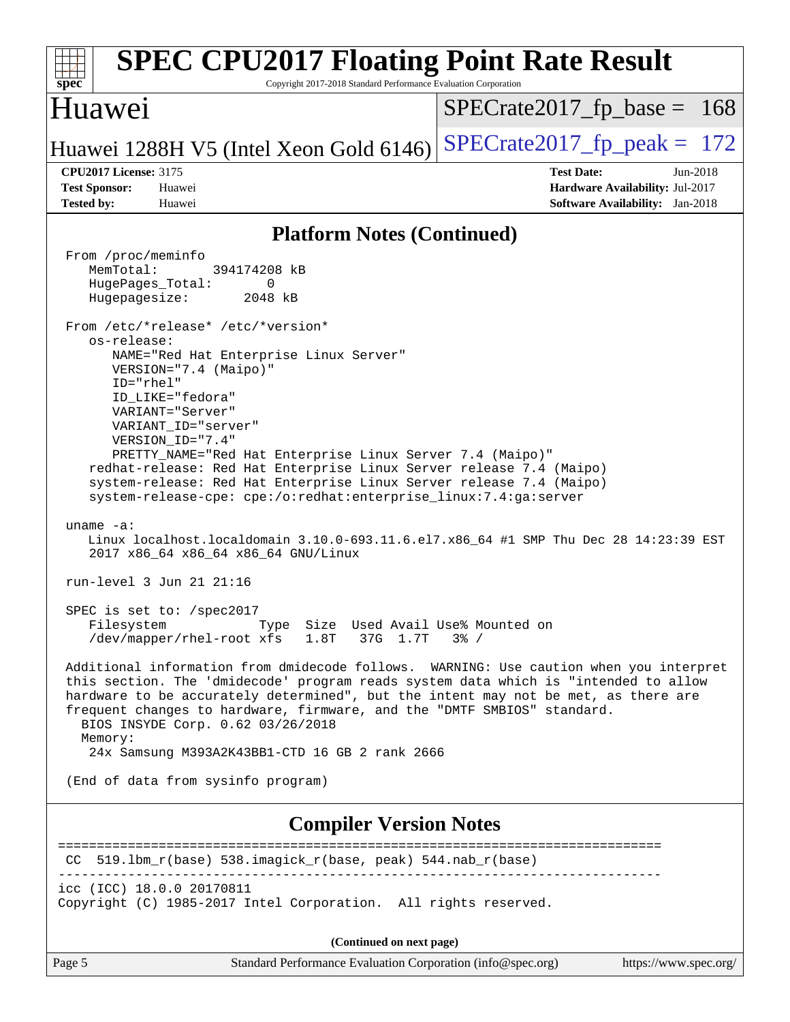| <b>SPEC CPU2017 Floating Point Rate Result</b><br>Copyright 2017-2018 Standard Performance Evaluation Corporation<br>spec <sup>®</sup>                                                                                                                                                                                                                                                                                                                                                                                                                                                                                                                                                                                                                                                                                                                                                                                                                                                                                                                                                                                                                                                                                                                                                                                                                                                                                  |                                                                                                              |
|-------------------------------------------------------------------------------------------------------------------------------------------------------------------------------------------------------------------------------------------------------------------------------------------------------------------------------------------------------------------------------------------------------------------------------------------------------------------------------------------------------------------------------------------------------------------------------------------------------------------------------------------------------------------------------------------------------------------------------------------------------------------------------------------------------------------------------------------------------------------------------------------------------------------------------------------------------------------------------------------------------------------------------------------------------------------------------------------------------------------------------------------------------------------------------------------------------------------------------------------------------------------------------------------------------------------------------------------------------------------------------------------------------------------------|--------------------------------------------------------------------------------------------------------------|
| Huawei                                                                                                                                                                                                                                                                                                                                                                                                                                                                                                                                                                                                                                                                                                                                                                                                                                                                                                                                                                                                                                                                                                                                                                                                                                                                                                                                                                                                                  | $SPECrate2017rfp base = 168$                                                                                 |
| Huawei 1288H V5 (Intel Xeon Gold 6146)                                                                                                                                                                                                                                                                                                                                                                                                                                                                                                                                                                                                                                                                                                                                                                                                                                                                                                                                                                                                                                                                                                                                                                                                                                                                                                                                                                                  | $SPECTate2017$ _fp_peak = 172                                                                                |
| <b>CPU2017 License: 3175</b><br><b>Test Sponsor:</b><br>Huawei<br><b>Tested by:</b><br>Huawei                                                                                                                                                                                                                                                                                                                                                                                                                                                                                                                                                                                                                                                                                                                                                                                                                                                                                                                                                                                                                                                                                                                                                                                                                                                                                                                           | <b>Test Date:</b><br>$Jun-2018$<br>Hardware Availability: Jul-2017<br><b>Software Availability:</b> Jan-2018 |
| <b>Platform Notes (Continued)</b>                                                                                                                                                                                                                                                                                                                                                                                                                                                                                                                                                                                                                                                                                                                                                                                                                                                                                                                                                                                                                                                                                                                                                                                                                                                                                                                                                                                       |                                                                                                              |
| From /proc/meminfo<br>MemTotal:<br>394174208 kB<br>HugePages_Total:<br>0<br>Hugepagesize:<br>2048 kB<br>From /etc/*release* /etc/*version*<br>os-release:<br>NAME="Red Hat Enterprise Linux Server"<br>VERSION="7.4 (Maipo)"<br>ID="rhel"<br>ID_LIKE="fedora"<br>VARIANT="Server"<br>VARIANT_ID="server"<br>VERSION_ID="7.4"<br>PRETTY_NAME="Red Hat Enterprise Linux Server 7.4 (Maipo)"<br>redhat-release: Red Hat Enterprise Linux Server release 7.4 (Maipo)<br>system-release: Red Hat Enterprise Linux Server release 7.4 (Maipo)<br>system-release-cpe: cpe:/o:redhat:enterprise_linux:7.4:ga:server<br>uname $-a$ :<br>Linux localhost.localdomain 3.10.0-693.11.6.el7.x86_64 #1 SMP Thu Dec 28 14:23:39 EST<br>2017 x86_64 x86_64 x86_64 GNU/Linux<br>run-level 3 Jun 21 21:16<br>SPEC is set to: /spec2017<br>Type Size Used Avail Use% Mounted on<br>Filesystem<br>37G 1.7T 3% /<br>/dev/mapper/rhel-root xfs 1.8T<br>Additional information from dmidecode follows. WARNING: Use caution when you interpret<br>this section. The 'dmidecode' program reads system data which is "intended to allow<br>hardware to be accurately determined", but the intent may not be met, as there are<br>frequent changes to hardware, firmware, and the "DMTF SMBIOS" standard.<br>BIOS INSYDE Corp. 0.62 03/26/2018<br>Memory:<br>24x Samsung M393A2K43BB1-CTD 16 GB 2 rank 2666<br>(End of data from sysinfo program) |                                                                                                              |
| <b>Compiler Version Notes</b>                                                                                                                                                                                                                                                                                                                                                                                                                                                                                                                                                                                                                                                                                                                                                                                                                                                                                                                                                                                                                                                                                                                                                                                                                                                                                                                                                                                           | ==============================                                                                               |
| CC 519.1bm_r(base) 538.imagick_r(base, peak) 544.nab_r(base)<br>icc (ICC) 18.0.0 20170811<br>Copyright (C) 1985-2017 Intel Corporation. All rights reserved.                                                                                                                                                                                                                                                                                                                                                                                                                                                                                                                                                                                                                                                                                                                                                                                                                                                                                                                                                                                                                                                                                                                                                                                                                                                            |                                                                                                              |
| (Continued on next page)                                                                                                                                                                                                                                                                                                                                                                                                                                                                                                                                                                                                                                                                                                                                                                                                                                                                                                                                                                                                                                                                                                                                                                                                                                                                                                                                                                                                |                                                                                                              |

| яσе<br>. . |  |
|------------|--|
|            |  |

Standard Performance Evaluation Corporation [\(info@spec.org\)](mailto:info@spec.org) <https://www.spec.org/>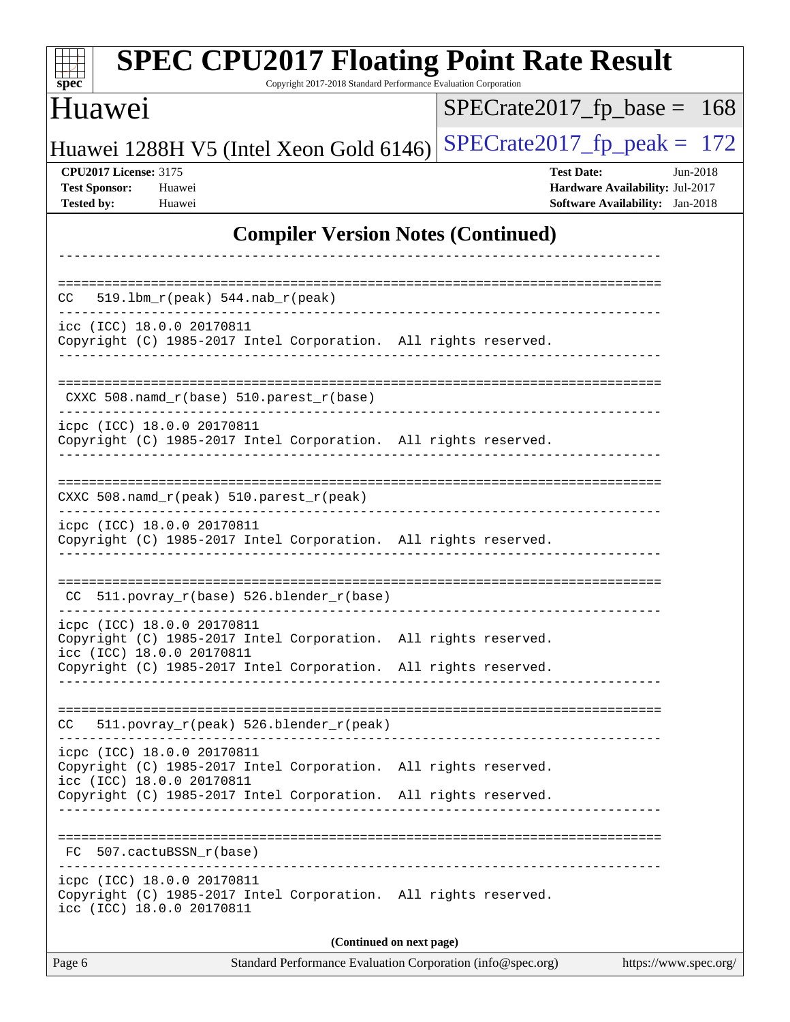| <b>SPEC CPU2017 Floating Point Rate Result</b><br>spec <sup>®</sup><br>Copyright 2017-2018 Standard Performance Evaluation Corporation |                                                                                                            |  |  |  |  |
|----------------------------------------------------------------------------------------------------------------------------------------|------------------------------------------------------------------------------------------------------------|--|--|--|--|
| Huawei                                                                                                                                 | $SPECrate2017fp base =$<br><b>168</b>                                                                      |  |  |  |  |
| Huawei 1288H V5 (Intel Xeon Gold 6146)                                                                                                 | $SPECTate2017$ _fp_peak = 172                                                                              |  |  |  |  |
| <b>CPU2017 License: 3175</b><br><b>Test Sponsor:</b><br>Huawei<br><b>Tested by:</b><br>Huawei                                          | <b>Test Date:</b><br>Jun-2018<br>Hardware Availability: Jul-2017<br><b>Software Availability:</b> Jan-2018 |  |  |  |  |
| <b>Compiler Version Notes (Continued)</b>                                                                                              |                                                                                                            |  |  |  |  |
|                                                                                                                                        |                                                                                                            |  |  |  |  |
| $519.1bm_r(peak) 544.nab_r(peak)$<br>CC.                                                                                               |                                                                                                            |  |  |  |  |
| icc (ICC) 18.0.0 20170811<br>Copyright (C) 1985-2017 Intel Corporation. All rights reserved.                                           |                                                                                                            |  |  |  |  |
| CXXC 508.namd_r(base) 510.parest_r(base)                                                                                               |                                                                                                            |  |  |  |  |
| icpc (ICC) 18.0.0 20170811<br>Copyright (C) 1985-2017 Intel Corporation. All rights reserved.                                          |                                                                                                            |  |  |  |  |
| CXXC 508.namd_r(peak) 510.parest_r(peak)                                                                                               |                                                                                                            |  |  |  |  |
| icpc (ICC) 18.0.0 20170811<br>Copyright (C) 1985-2017 Intel Corporation. All rights reserved.                                          |                                                                                                            |  |  |  |  |
| CC 511.povray_r(base) 526.blender_r(base)                                                                                              | __________________________________                                                                         |  |  |  |  |
| icpc (ICC) 18.0.0 20170811<br>Copyright (C) 1985-2017 Intel Corporation. All rights reserved.<br>icc (ICC) 18.0.0 20170811             |                                                                                                            |  |  |  |  |
| Copyright (C) 1985-2017 Intel Corporation. All rights reserved.                                                                        |                                                                                                            |  |  |  |  |
| 511.povray_r(peak) 526.blender_r(peak)<br>CC                                                                                           |                                                                                                            |  |  |  |  |
| icpc (ICC) 18.0.0 20170811<br>Copyright (C) 1985-2017 Intel Corporation. All rights reserved.<br>icc (ICC) 18.0.0 20170811             |                                                                                                            |  |  |  |  |
| Copyright (C) 1985-2017 Intel Corporation. All rights reserved.                                                                        |                                                                                                            |  |  |  |  |
| FC 507.cactuBSSN_r(base)                                                                                                               |                                                                                                            |  |  |  |  |
| icpc (ICC) 18.0.0 20170811<br>Copyright (C) 1985-2017 Intel Corporation. All rights reserved.<br>icc (ICC) 18.0.0 20170811             |                                                                                                            |  |  |  |  |
| (Continued on next page)                                                                                                               |                                                                                                            |  |  |  |  |
| Standard Performance Evaluation Corporation (info@spec.org)<br>Page 6                                                                  | https://www.spec.org/                                                                                      |  |  |  |  |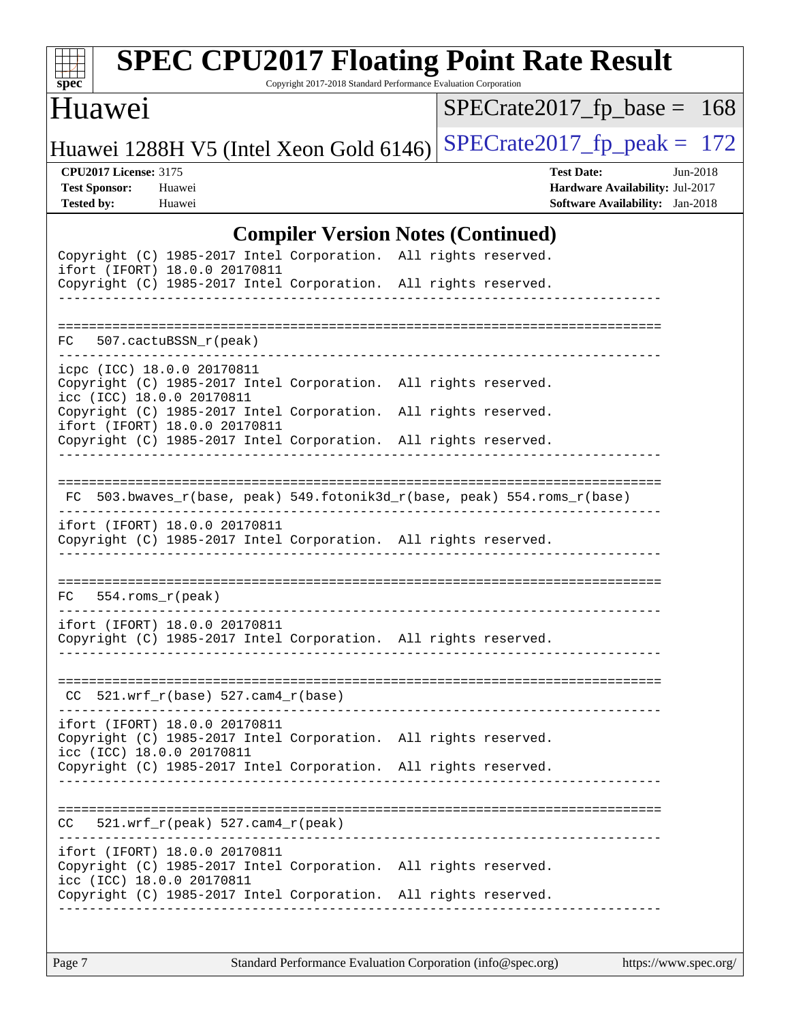

# **[SPEC CPU2017 Floating Point Rate Result](http://www.spec.org/auto/cpu2017/Docs/result-fields.html#SPECCPU2017FloatingPointRateResult)**

Copyright 2017-2018 Standard Performance Evaluation Corporation

#### Huawei

[SPECrate2017\\_fp\\_base =](http://www.spec.org/auto/cpu2017/Docs/result-fields.html#SPECrate2017fpbase) 168

Huawei 1288H V5 (Intel Xeon Gold 6146) SPECrate  $2017$  fp peak = 172

**[CPU2017 License:](http://www.spec.org/auto/cpu2017/Docs/result-fields.html#CPU2017License)** 3175 **[Test Date:](http://www.spec.org/auto/cpu2017/Docs/result-fields.html#TestDate)** Jun-2018 **[Test Sponsor:](http://www.spec.org/auto/cpu2017/Docs/result-fields.html#TestSponsor)** Huawei **[Hardware Availability:](http://www.spec.org/auto/cpu2017/Docs/result-fields.html#HardwareAvailability)** Jul-2017 **[Tested by:](http://www.spec.org/auto/cpu2017/Docs/result-fields.html#Testedby)** Huawei **[Software Availability:](http://www.spec.org/auto/cpu2017/Docs/result-fields.html#SoftwareAvailability)** Jan-2018

#### **[Compiler Version Notes \(Continued\)](http://www.spec.org/auto/cpu2017/Docs/result-fields.html#CompilerVersionNotes)**

|                                                         | Copyright (C) 1985-2017 Intel Corporation. All rights reserved.<br>ifort (IFORT) 18.0.0 20170811<br>Copyright (C) 1985-2017 Intel Corporation. All rights reserved. |  |                                                                          |
|---------------------------------------------------------|---------------------------------------------------------------------------------------------------------------------------------------------------------------------|--|--------------------------------------------------------------------------|
| FC 507.cactuBSSN_r(peak)                                |                                                                                                                                                                     |  |                                                                          |
| icpc (ICC) 18.0.0 20170811<br>icc (ICC) 18.0.0 20170811 | Copyright (C) 1985-2017 Intel Corporation. All rights reserved.                                                                                                     |  |                                                                          |
|                                                         | Copyright (C) 1985-2017 Intel Corporation. All rights reserved.<br>ifort (IFORT) 18.0.0 20170811<br>Copyright (C) 1985-2017 Intel Corporation. All rights reserved. |  |                                                                          |
|                                                         |                                                                                                                                                                     |  | FC 503.bwaves_r(base, peak) 549.fotonik3d_r(base, peak) 554.roms_r(base) |
|                                                         | ifort (IFORT) 18.0.0 20170811<br>Copyright (C) 1985-2017 Intel Corporation. All rights reserved.                                                                    |  |                                                                          |
| $FC$ 554.roms $_r$ (peak)                               |                                                                                                                                                                     |  |                                                                          |
|                                                         | ifort (IFORT) 18.0.0 20170811<br>Copyright (C) 1985-2017 Intel Corporation. All rights reserved.                                                                    |  |                                                                          |
|                                                         | $CC$ 521.wrf_r(base) 527.cam4_r(base)                                                                                                                               |  |                                                                          |
| icc (ICC) 18.0.0 20170811                               | ifort (IFORT) 18.0.0 20170811<br>Copyright (C) 1985-2017 Intel Corporation. All rights reserved.                                                                    |  |                                                                          |
|                                                         | Copyright (C) 1985-2017 Intel Corporation. All rights reserved.                                                                                                     |  |                                                                          |
| CC                                                      | 521.wrf_r(peak) 527.cam4_r(peak)                                                                                                                                    |  |                                                                          |
| icc (ICC) 18.0.0 20170811                               | ifort (IFORT) 18.0.0 20170811<br>Copyright (C) 1985-2017 Intel Corporation. All rights reserved.                                                                    |  |                                                                          |
|                                                         | Copyright (C) 1985-2017 Intel Corporation. All rights reserved.                                                                                                     |  |                                                                          |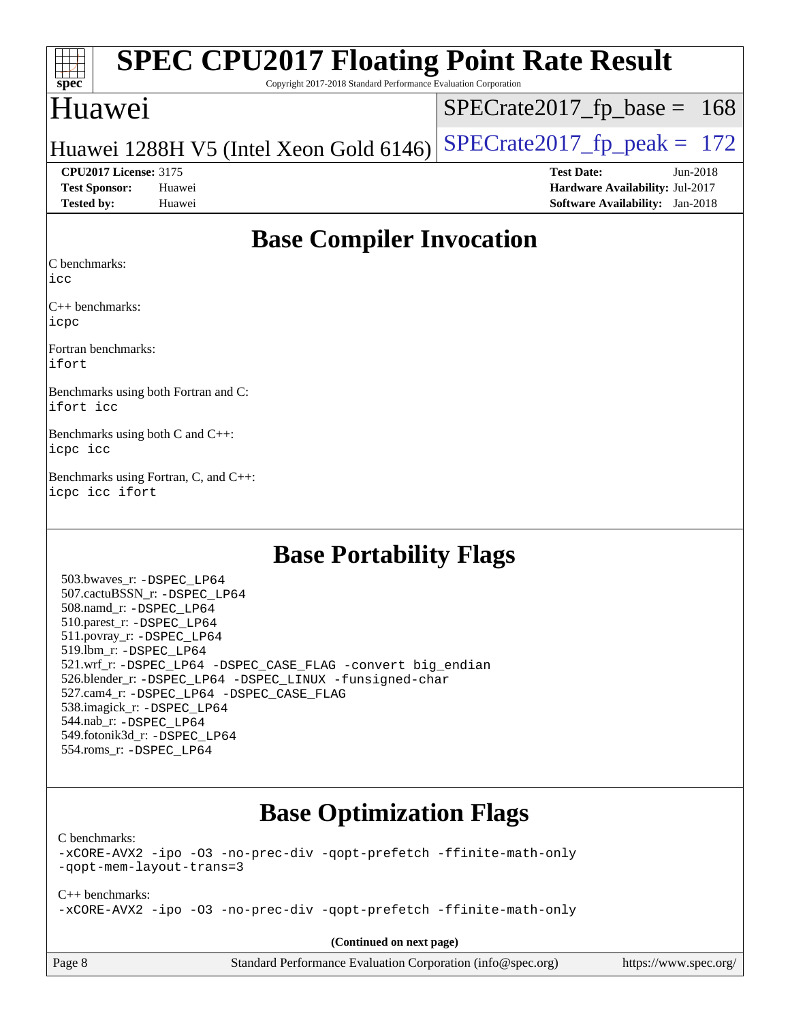| <b>SPEC CPU2017 Floating Point Rate Result</b><br>$\frac{1}{\text{spec}^*}$<br>Copyright 2017-2018 Standard Performance Evaluation Corporation |                                        |
|------------------------------------------------------------------------------------------------------------------------------------------------|----------------------------------------|
| Huawei                                                                                                                                         | $SPECrate2017_fp\_base = 168$          |
| Huawei 1288H V5 (Intel Xeon Gold 6146)                                                                                                         | $SPECrate2017_fp\_peak = 172$          |
| <b>CPU2017 License: 3175</b>                                                                                                                   | <b>Test Date:</b><br>$Jun-2018$        |
| Huawei<br><b>Test Sponsor:</b>                                                                                                                 | Hardware Availability: Jul-2017        |
| <b>Tested by:</b><br>Huawei                                                                                                                    | <b>Software Availability:</b> Jan-2018 |

## **[Base Compiler Invocation](http://www.spec.org/auto/cpu2017/Docs/result-fields.html#BaseCompilerInvocation)**

[C benchmarks](http://www.spec.org/auto/cpu2017/Docs/result-fields.html#Cbenchmarks):

[icc](http://www.spec.org/cpu2017/results/res2018q3/cpu2017-20180626-07462.flags.html#user_CCbase_intel_icc_18.0_66fc1ee009f7361af1fbd72ca7dcefbb700085f36577c54f309893dd4ec40d12360134090235512931783d35fd58c0460139e722d5067c5574d8eaf2b3e37e92)

[C++ benchmarks](http://www.spec.org/auto/cpu2017/Docs/result-fields.html#CXXbenchmarks): [icpc](http://www.spec.org/cpu2017/results/res2018q3/cpu2017-20180626-07462.flags.html#user_CXXbase_intel_icpc_18.0_c510b6838c7f56d33e37e94d029a35b4a7bccf4766a728ee175e80a419847e808290a9b78be685c44ab727ea267ec2f070ec5dc83b407c0218cded6866a35d07)

[Fortran benchmarks:](http://www.spec.org/auto/cpu2017/Docs/result-fields.html#Fortranbenchmarks) [ifort](http://www.spec.org/cpu2017/results/res2018q3/cpu2017-20180626-07462.flags.html#user_FCbase_intel_ifort_18.0_8111460550e3ca792625aed983ce982f94888b8b503583aa7ba2b8303487b4d8a21a13e7191a45c5fd58ff318f48f9492884d4413fa793fd88dd292cad7027ca)

[Benchmarks using both Fortran and C](http://www.spec.org/auto/cpu2017/Docs/result-fields.html#BenchmarksusingbothFortranandC): [ifort](http://www.spec.org/cpu2017/results/res2018q3/cpu2017-20180626-07462.flags.html#user_CC_FCbase_intel_ifort_18.0_8111460550e3ca792625aed983ce982f94888b8b503583aa7ba2b8303487b4d8a21a13e7191a45c5fd58ff318f48f9492884d4413fa793fd88dd292cad7027ca) [icc](http://www.spec.org/cpu2017/results/res2018q3/cpu2017-20180626-07462.flags.html#user_CC_FCbase_intel_icc_18.0_66fc1ee009f7361af1fbd72ca7dcefbb700085f36577c54f309893dd4ec40d12360134090235512931783d35fd58c0460139e722d5067c5574d8eaf2b3e37e92)

[Benchmarks using both C and C++:](http://www.spec.org/auto/cpu2017/Docs/result-fields.html#BenchmarksusingbothCandCXX) [icpc](http://www.spec.org/cpu2017/results/res2018q3/cpu2017-20180626-07462.flags.html#user_CC_CXXbase_intel_icpc_18.0_c510b6838c7f56d33e37e94d029a35b4a7bccf4766a728ee175e80a419847e808290a9b78be685c44ab727ea267ec2f070ec5dc83b407c0218cded6866a35d07) [icc](http://www.spec.org/cpu2017/results/res2018q3/cpu2017-20180626-07462.flags.html#user_CC_CXXbase_intel_icc_18.0_66fc1ee009f7361af1fbd72ca7dcefbb700085f36577c54f309893dd4ec40d12360134090235512931783d35fd58c0460139e722d5067c5574d8eaf2b3e37e92)

[Benchmarks using Fortran, C, and C++](http://www.spec.org/auto/cpu2017/Docs/result-fields.html#BenchmarksusingFortranCandCXX): [icpc](http://www.spec.org/cpu2017/results/res2018q3/cpu2017-20180626-07462.flags.html#user_CC_CXX_FCbase_intel_icpc_18.0_c510b6838c7f56d33e37e94d029a35b4a7bccf4766a728ee175e80a419847e808290a9b78be685c44ab727ea267ec2f070ec5dc83b407c0218cded6866a35d07) [icc](http://www.spec.org/cpu2017/results/res2018q3/cpu2017-20180626-07462.flags.html#user_CC_CXX_FCbase_intel_icc_18.0_66fc1ee009f7361af1fbd72ca7dcefbb700085f36577c54f309893dd4ec40d12360134090235512931783d35fd58c0460139e722d5067c5574d8eaf2b3e37e92) [ifort](http://www.spec.org/cpu2017/results/res2018q3/cpu2017-20180626-07462.flags.html#user_CC_CXX_FCbase_intel_ifort_18.0_8111460550e3ca792625aed983ce982f94888b8b503583aa7ba2b8303487b4d8a21a13e7191a45c5fd58ff318f48f9492884d4413fa793fd88dd292cad7027ca)

### **[Base Portability Flags](http://www.spec.org/auto/cpu2017/Docs/result-fields.html#BasePortabilityFlags)**

 503.bwaves\_r: [-DSPEC\\_LP64](http://www.spec.org/cpu2017/results/res2018q3/cpu2017-20180626-07462.flags.html#suite_basePORTABILITY503_bwaves_r_DSPEC_LP64) 507.cactuBSSN\_r: [-DSPEC\\_LP64](http://www.spec.org/cpu2017/results/res2018q3/cpu2017-20180626-07462.flags.html#suite_basePORTABILITY507_cactuBSSN_r_DSPEC_LP64) 508.namd\_r: [-DSPEC\\_LP64](http://www.spec.org/cpu2017/results/res2018q3/cpu2017-20180626-07462.flags.html#suite_basePORTABILITY508_namd_r_DSPEC_LP64) 510.parest\_r: [-DSPEC\\_LP64](http://www.spec.org/cpu2017/results/res2018q3/cpu2017-20180626-07462.flags.html#suite_basePORTABILITY510_parest_r_DSPEC_LP64) 511.povray\_r: [-DSPEC\\_LP64](http://www.spec.org/cpu2017/results/res2018q3/cpu2017-20180626-07462.flags.html#suite_basePORTABILITY511_povray_r_DSPEC_LP64) 519.lbm\_r: [-DSPEC\\_LP64](http://www.spec.org/cpu2017/results/res2018q3/cpu2017-20180626-07462.flags.html#suite_basePORTABILITY519_lbm_r_DSPEC_LP64) 521.wrf\_r: [-DSPEC\\_LP64](http://www.spec.org/cpu2017/results/res2018q3/cpu2017-20180626-07462.flags.html#suite_basePORTABILITY521_wrf_r_DSPEC_LP64) [-DSPEC\\_CASE\\_FLAG](http://www.spec.org/cpu2017/results/res2018q3/cpu2017-20180626-07462.flags.html#b521.wrf_r_baseCPORTABILITY_DSPEC_CASE_FLAG) [-convert big\\_endian](http://www.spec.org/cpu2017/results/res2018q3/cpu2017-20180626-07462.flags.html#user_baseFPORTABILITY521_wrf_r_convert_big_endian_c3194028bc08c63ac5d04de18c48ce6d347e4e562e8892b8bdbdc0214820426deb8554edfa529a3fb25a586e65a3d812c835984020483e7e73212c4d31a38223) 526.blender\_r: [-DSPEC\\_LP64](http://www.spec.org/cpu2017/results/res2018q3/cpu2017-20180626-07462.flags.html#suite_basePORTABILITY526_blender_r_DSPEC_LP64) [-DSPEC\\_LINUX](http://www.spec.org/cpu2017/results/res2018q3/cpu2017-20180626-07462.flags.html#b526.blender_r_baseCPORTABILITY_DSPEC_LINUX) [-funsigned-char](http://www.spec.org/cpu2017/results/res2018q3/cpu2017-20180626-07462.flags.html#user_baseCPORTABILITY526_blender_r_force_uchar_40c60f00ab013830e2dd6774aeded3ff59883ba5a1fc5fc14077f794d777847726e2a5858cbc7672e36e1b067e7e5c1d9a74f7176df07886a243d7cc18edfe67) 527.cam4\_r: [-DSPEC\\_LP64](http://www.spec.org/cpu2017/results/res2018q3/cpu2017-20180626-07462.flags.html#suite_basePORTABILITY527_cam4_r_DSPEC_LP64) [-DSPEC\\_CASE\\_FLAG](http://www.spec.org/cpu2017/results/res2018q3/cpu2017-20180626-07462.flags.html#b527.cam4_r_baseCPORTABILITY_DSPEC_CASE_FLAG) 538.imagick\_r: [-DSPEC\\_LP64](http://www.spec.org/cpu2017/results/res2018q3/cpu2017-20180626-07462.flags.html#suite_basePORTABILITY538_imagick_r_DSPEC_LP64) 544.nab\_r: [-DSPEC\\_LP64](http://www.spec.org/cpu2017/results/res2018q3/cpu2017-20180626-07462.flags.html#suite_basePORTABILITY544_nab_r_DSPEC_LP64) 549.fotonik3d\_r: [-DSPEC\\_LP64](http://www.spec.org/cpu2017/results/res2018q3/cpu2017-20180626-07462.flags.html#suite_basePORTABILITY549_fotonik3d_r_DSPEC_LP64) 554.roms\_r: [-DSPEC\\_LP64](http://www.spec.org/cpu2017/results/res2018q3/cpu2017-20180626-07462.flags.html#suite_basePORTABILITY554_roms_r_DSPEC_LP64)

# **[Base Optimization Flags](http://www.spec.org/auto/cpu2017/Docs/result-fields.html#BaseOptimizationFlags)**

[C benchmarks](http://www.spec.org/auto/cpu2017/Docs/result-fields.html#Cbenchmarks):

[-xCORE-AVX2](http://www.spec.org/cpu2017/results/res2018q3/cpu2017-20180626-07462.flags.html#user_CCbase_f-xCORE-AVX2) [-ipo](http://www.spec.org/cpu2017/results/res2018q3/cpu2017-20180626-07462.flags.html#user_CCbase_f-ipo) [-O3](http://www.spec.org/cpu2017/results/res2018q3/cpu2017-20180626-07462.flags.html#user_CCbase_f-O3) [-no-prec-div](http://www.spec.org/cpu2017/results/res2018q3/cpu2017-20180626-07462.flags.html#user_CCbase_f-no-prec-div) [-qopt-prefetch](http://www.spec.org/cpu2017/results/res2018q3/cpu2017-20180626-07462.flags.html#user_CCbase_f-qopt-prefetch) [-ffinite-math-only](http://www.spec.org/cpu2017/results/res2018q3/cpu2017-20180626-07462.flags.html#user_CCbase_f_finite_math_only_cb91587bd2077682c4b38af759c288ed7c732db004271a9512da14a4f8007909a5f1427ecbf1a0fb78ff2a814402c6114ac565ca162485bbcae155b5e4258871) [-qopt-mem-layout-trans=3](http://www.spec.org/cpu2017/results/res2018q3/cpu2017-20180626-07462.flags.html#user_CCbase_f-qopt-mem-layout-trans_de80db37974c74b1f0e20d883f0b675c88c3b01e9d123adea9b28688d64333345fb62bc4a798493513fdb68f60282f9a726aa07f478b2f7113531aecce732043)

[C++ benchmarks:](http://www.spec.org/auto/cpu2017/Docs/result-fields.html#CXXbenchmarks) [-xCORE-AVX2](http://www.spec.org/cpu2017/results/res2018q3/cpu2017-20180626-07462.flags.html#user_CXXbase_f-xCORE-AVX2) [-ipo](http://www.spec.org/cpu2017/results/res2018q3/cpu2017-20180626-07462.flags.html#user_CXXbase_f-ipo) [-O3](http://www.spec.org/cpu2017/results/res2018q3/cpu2017-20180626-07462.flags.html#user_CXXbase_f-O3) [-no-prec-div](http://www.spec.org/cpu2017/results/res2018q3/cpu2017-20180626-07462.flags.html#user_CXXbase_f-no-prec-div) [-qopt-prefetch](http://www.spec.org/cpu2017/results/res2018q3/cpu2017-20180626-07462.flags.html#user_CXXbase_f-qopt-prefetch) [-ffinite-math-only](http://www.spec.org/cpu2017/results/res2018q3/cpu2017-20180626-07462.flags.html#user_CXXbase_f_finite_math_only_cb91587bd2077682c4b38af759c288ed7c732db004271a9512da14a4f8007909a5f1427ecbf1a0fb78ff2a814402c6114ac565ca162485bbcae155b5e4258871)

**(Continued on next page)**

Page 8 Standard Performance Evaluation Corporation [\(info@spec.org\)](mailto:info@spec.org) <https://www.spec.org/>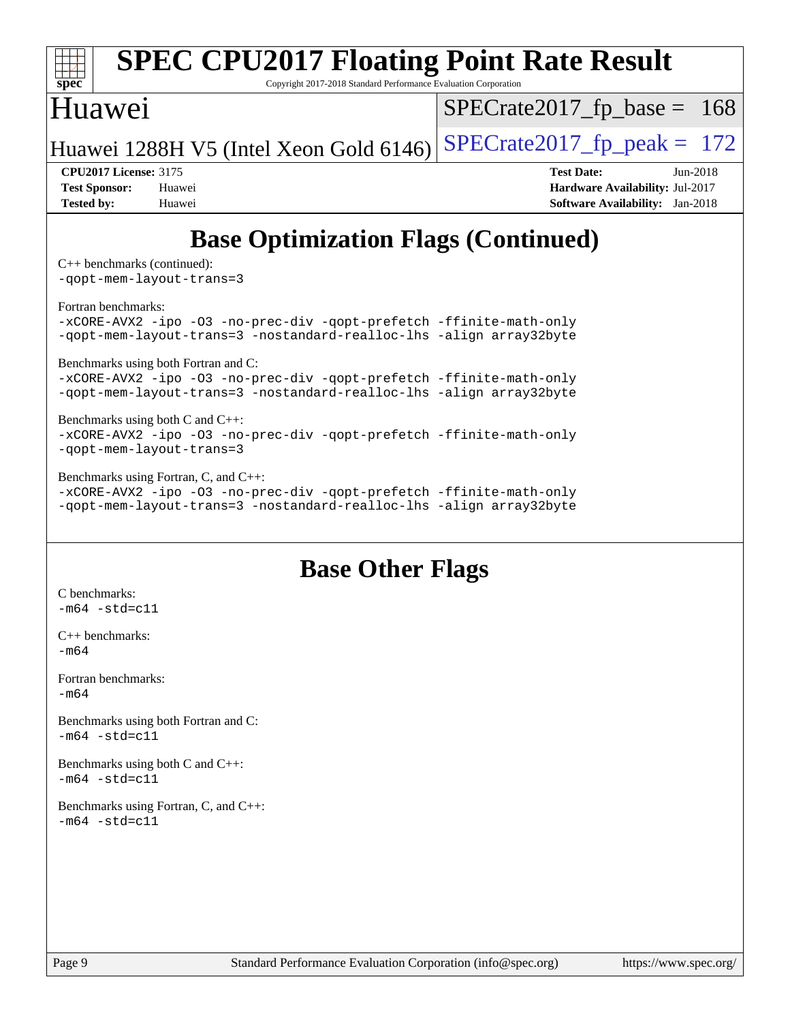

```
Benchmarks using both C and C++: 
-xCORE-AVX2 -ipo -O3 -no-prec-div -qopt-prefetch -ffinite-math-only
-qopt-mem-layout-trans=3
```
[Benchmarks using Fortran, C, and C++:](http://www.spec.org/auto/cpu2017/Docs/result-fields.html#BenchmarksusingFortranCandCXX) [-xCORE-AVX2](http://www.spec.org/cpu2017/results/res2018q3/cpu2017-20180626-07462.flags.html#user_CC_CXX_FCbase_f-xCORE-AVX2) [-ipo](http://www.spec.org/cpu2017/results/res2018q3/cpu2017-20180626-07462.flags.html#user_CC_CXX_FCbase_f-ipo) [-O3](http://www.spec.org/cpu2017/results/res2018q3/cpu2017-20180626-07462.flags.html#user_CC_CXX_FCbase_f-O3) [-no-prec-div](http://www.spec.org/cpu2017/results/res2018q3/cpu2017-20180626-07462.flags.html#user_CC_CXX_FCbase_f-no-prec-div) [-qopt-prefetch](http://www.spec.org/cpu2017/results/res2018q3/cpu2017-20180626-07462.flags.html#user_CC_CXX_FCbase_f-qopt-prefetch) [-ffinite-math-only](http://www.spec.org/cpu2017/results/res2018q3/cpu2017-20180626-07462.flags.html#user_CC_CXX_FCbase_f_finite_math_only_cb91587bd2077682c4b38af759c288ed7c732db004271a9512da14a4f8007909a5f1427ecbf1a0fb78ff2a814402c6114ac565ca162485bbcae155b5e4258871) [-qopt-mem-layout-trans=3](http://www.spec.org/cpu2017/results/res2018q3/cpu2017-20180626-07462.flags.html#user_CC_CXX_FCbase_f-qopt-mem-layout-trans_de80db37974c74b1f0e20d883f0b675c88c3b01e9d123adea9b28688d64333345fb62bc4a798493513fdb68f60282f9a726aa07f478b2f7113531aecce732043) [-nostandard-realloc-lhs](http://www.spec.org/cpu2017/results/res2018q3/cpu2017-20180626-07462.flags.html#user_CC_CXX_FCbase_f_2003_std_realloc_82b4557e90729c0f113870c07e44d33d6f5a304b4f63d4c15d2d0f1fab99f5daaed73bdb9275d9ae411527f28b936061aa8b9c8f2d63842963b95c9dd6426b8a) [-align array32byte](http://www.spec.org/cpu2017/results/res2018q3/cpu2017-20180626-07462.flags.html#user_CC_CXX_FCbase_align_array32byte_b982fe038af199962ba9a80c053b8342c548c85b40b8e86eb3cc33dee0d7986a4af373ac2d51c3f7cf710a18d62fdce2948f201cd044323541f22fc0fffc51b6)

### **[Base Other Flags](http://www.spec.org/auto/cpu2017/Docs/result-fields.html#BaseOtherFlags)**

[C benchmarks](http://www.spec.org/auto/cpu2017/Docs/result-fields.html#Cbenchmarks):  $-m64 - std= c11$  $-m64 - std= c11$ [C++ benchmarks:](http://www.spec.org/auto/cpu2017/Docs/result-fields.html#CXXbenchmarks) [-m64](http://www.spec.org/cpu2017/results/res2018q3/cpu2017-20180626-07462.flags.html#user_CXXbase_intel_intel64_18.0_af43caccfc8ded86e7699f2159af6efc7655f51387b94da716254467f3c01020a5059329e2569e4053f409e7c9202a7efc638f7a6d1ffb3f52dea4a3e31d82ab) [Fortran benchmarks](http://www.spec.org/auto/cpu2017/Docs/result-fields.html#Fortranbenchmarks):  $-m64$ [Benchmarks using both Fortran and C](http://www.spec.org/auto/cpu2017/Docs/result-fields.html#BenchmarksusingbothFortranandC):  $-m64 - std = c11$  $-m64 - std = c11$ [Benchmarks using both C and C++](http://www.spec.org/auto/cpu2017/Docs/result-fields.html#BenchmarksusingbothCandCXX):  $-m64 - std= c11$  $-m64 - std= c11$ [Benchmarks using Fortran, C, and C++:](http://www.spec.org/auto/cpu2017/Docs/result-fields.html#BenchmarksusingFortranCandCXX)  $-m64 - std= c11$  $-m64 - std= c11$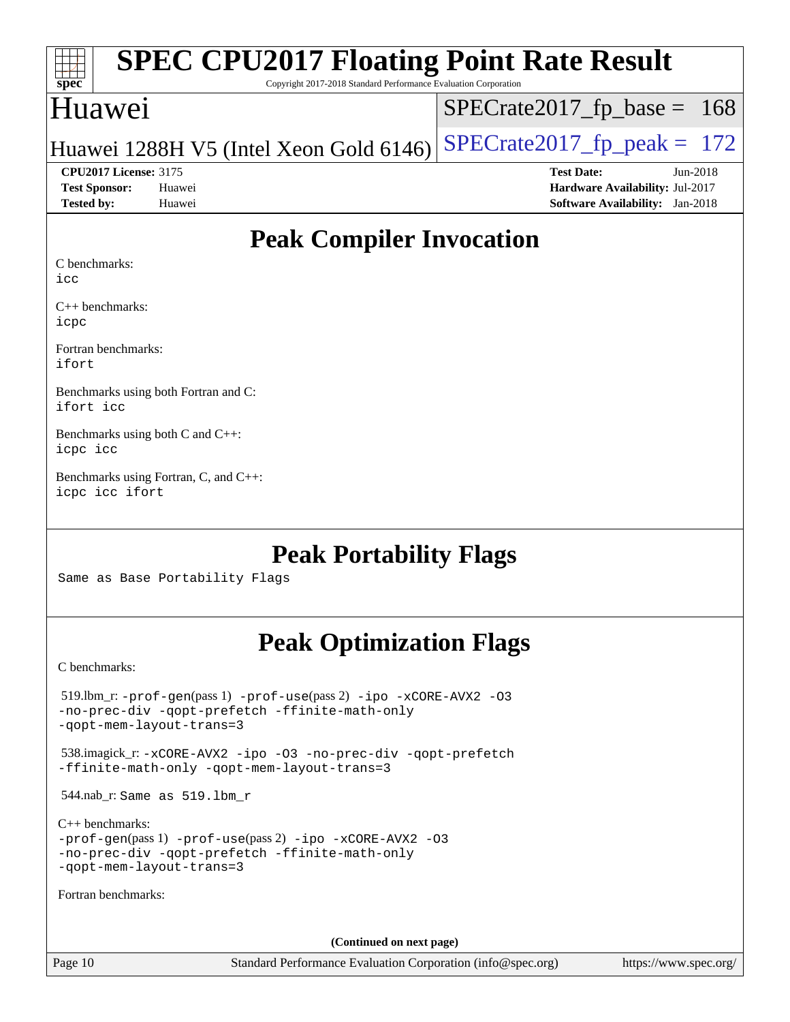| <b>SPEC CPU2017 Floating Point Rate Result</b><br>$\frac{1}{\text{spec}^*}$<br>Copyright 2017-2018 Standard Performance Evaluation Corporation |                                        |
|------------------------------------------------------------------------------------------------------------------------------------------------|----------------------------------------|
| Huawei                                                                                                                                         | $SPECrate2017_fp\_base = 168$          |
| Huawei 1288H V5 (Intel Xeon Gold 6146)                                                                                                         | $SPECTate2017$ _fp_peak = 172          |
| <b>CPU2017 License: 3175</b>                                                                                                                   | <b>Test Date:</b><br>$Jun-2018$        |
| <b>Test Sponsor:</b><br>Huawei                                                                                                                 | <b>Hardware Availability: Jul-2017</b> |
| <b>Tested by:</b><br>Huawei                                                                                                                    | <b>Software Availability:</b> Jan-2018 |

# **[Peak Compiler Invocation](http://www.spec.org/auto/cpu2017/Docs/result-fields.html#PeakCompilerInvocation)**

[C benchmarks:](http://www.spec.org/auto/cpu2017/Docs/result-fields.html#Cbenchmarks)

[icc](http://www.spec.org/cpu2017/results/res2018q3/cpu2017-20180626-07462.flags.html#user_CCpeak_intel_icc_18.0_66fc1ee009f7361af1fbd72ca7dcefbb700085f36577c54f309893dd4ec40d12360134090235512931783d35fd58c0460139e722d5067c5574d8eaf2b3e37e92)

[C++ benchmarks](http://www.spec.org/auto/cpu2017/Docs/result-fields.html#CXXbenchmarks): [icpc](http://www.spec.org/cpu2017/results/res2018q3/cpu2017-20180626-07462.flags.html#user_CXXpeak_intel_icpc_18.0_c510b6838c7f56d33e37e94d029a35b4a7bccf4766a728ee175e80a419847e808290a9b78be685c44ab727ea267ec2f070ec5dc83b407c0218cded6866a35d07)

[Fortran benchmarks:](http://www.spec.org/auto/cpu2017/Docs/result-fields.html#Fortranbenchmarks) [ifort](http://www.spec.org/cpu2017/results/res2018q3/cpu2017-20180626-07462.flags.html#user_FCpeak_intel_ifort_18.0_8111460550e3ca792625aed983ce982f94888b8b503583aa7ba2b8303487b4d8a21a13e7191a45c5fd58ff318f48f9492884d4413fa793fd88dd292cad7027ca)

[Benchmarks using both Fortran and C:](http://www.spec.org/auto/cpu2017/Docs/result-fields.html#BenchmarksusingbothFortranandC) [ifort](http://www.spec.org/cpu2017/results/res2018q3/cpu2017-20180626-07462.flags.html#user_CC_FCpeak_intel_ifort_18.0_8111460550e3ca792625aed983ce982f94888b8b503583aa7ba2b8303487b4d8a21a13e7191a45c5fd58ff318f48f9492884d4413fa793fd88dd292cad7027ca) [icc](http://www.spec.org/cpu2017/results/res2018q3/cpu2017-20180626-07462.flags.html#user_CC_FCpeak_intel_icc_18.0_66fc1ee009f7361af1fbd72ca7dcefbb700085f36577c54f309893dd4ec40d12360134090235512931783d35fd58c0460139e722d5067c5574d8eaf2b3e37e92)

[Benchmarks using both C and C++](http://www.spec.org/auto/cpu2017/Docs/result-fields.html#BenchmarksusingbothCandCXX): [icpc](http://www.spec.org/cpu2017/results/res2018q3/cpu2017-20180626-07462.flags.html#user_CC_CXXpeak_intel_icpc_18.0_c510b6838c7f56d33e37e94d029a35b4a7bccf4766a728ee175e80a419847e808290a9b78be685c44ab727ea267ec2f070ec5dc83b407c0218cded6866a35d07) [icc](http://www.spec.org/cpu2017/results/res2018q3/cpu2017-20180626-07462.flags.html#user_CC_CXXpeak_intel_icc_18.0_66fc1ee009f7361af1fbd72ca7dcefbb700085f36577c54f309893dd4ec40d12360134090235512931783d35fd58c0460139e722d5067c5574d8eaf2b3e37e92)

[Benchmarks using Fortran, C, and C++:](http://www.spec.org/auto/cpu2017/Docs/result-fields.html#BenchmarksusingFortranCandCXX) [icpc](http://www.spec.org/cpu2017/results/res2018q3/cpu2017-20180626-07462.flags.html#user_CC_CXX_FCpeak_intel_icpc_18.0_c510b6838c7f56d33e37e94d029a35b4a7bccf4766a728ee175e80a419847e808290a9b78be685c44ab727ea267ec2f070ec5dc83b407c0218cded6866a35d07) [icc](http://www.spec.org/cpu2017/results/res2018q3/cpu2017-20180626-07462.flags.html#user_CC_CXX_FCpeak_intel_icc_18.0_66fc1ee009f7361af1fbd72ca7dcefbb700085f36577c54f309893dd4ec40d12360134090235512931783d35fd58c0460139e722d5067c5574d8eaf2b3e37e92) [ifort](http://www.spec.org/cpu2017/results/res2018q3/cpu2017-20180626-07462.flags.html#user_CC_CXX_FCpeak_intel_ifort_18.0_8111460550e3ca792625aed983ce982f94888b8b503583aa7ba2b8303487b4d8a21a13e7191a45c5fd58ff318f48f9492884d4413fa793fd88dd292cad7027ca)

## **[Peak Portability Flags](http://www.spec.org/auto/cpu2017/Docs/result-fields.html#PeakPortabilityFlags)**

Same as Base Portability Flags

# **[Peak Optimization Flags](http://www.spec.org/auto/cpu2017/Docs/result-fields.html#PeakOptimizationFlags)**

[C benchmarks](http://www.spec.org/auto/cpu2017/Docs/result-fields.html#Cbenchmarks):

| $519.$ lbm_r: -prof-qen(pass 1) -prof-use(pass 2) -ipo -xCORE-AVX2 -03<br>-no-prec-div -qopt-prefetch -ffinite-math-only<br>-gopt-mem-layout-trans=3             |
|------------------------------------------------------------------------------------------------------------------------------------------------------------------|
| 538.imagick_r: -xCORE-AVX2 -ipo -03 -no-prec-div -qopt-prefetch<br>-ffinite-math-only -gopt-mem-layout-trans=3                                                   |
| $544.nab_r$ : Same as $519.lbm_r$                                                                                                                                |
| $C_{++}$ benchmarks:<br>$-prof-qen(pass 1) -prof-use(pass 2) -ipo -xCORE-AVX2 -O3$<br>-no-prec-div -qopt-prefetch -ffinite-math-only<br>-gopt-mem-layout-trans=3 |
| Fortran benchmarks:                                                                                                                                              |
| (Continued on next page)                                                                                                                                         |

Page 10 Standard Performance Evaluation Corporation [\(info@spec.org\)](mailto:info@spec.org) <https://www.spec.org/>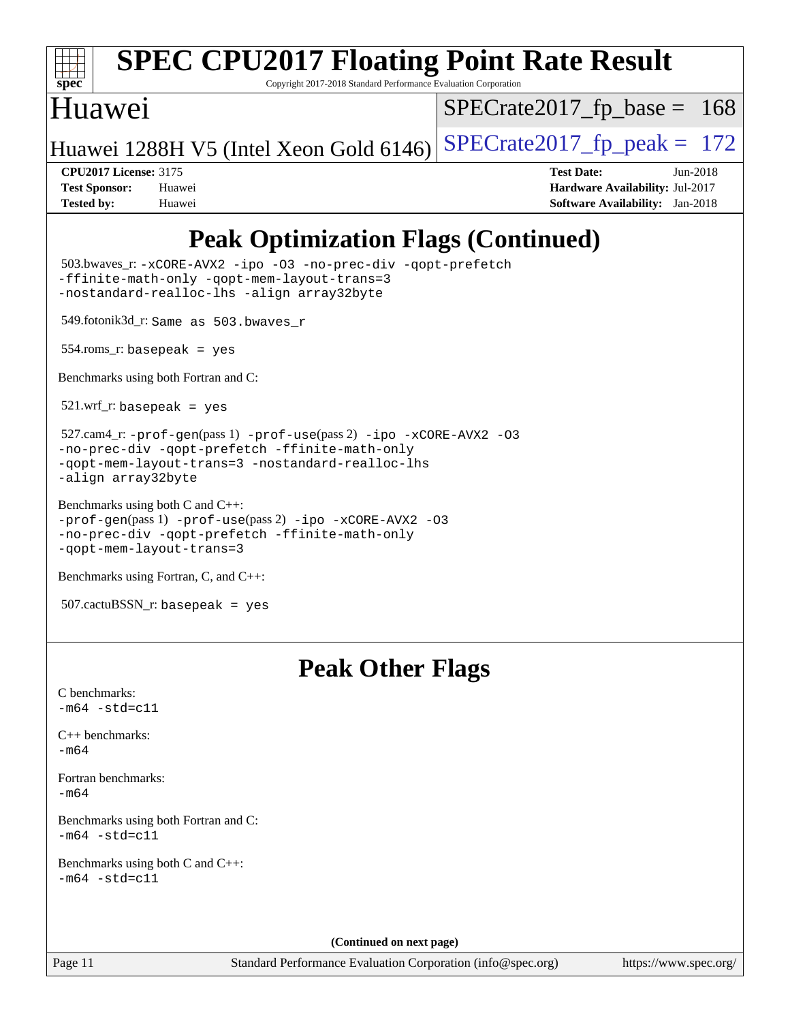

# **[SPEC CPU2017 Floating Point Rate Result](http://www.spec.org/auto/cpu2017/Docs/result-fields.html#SPECCPU2017FloatingPointRateResult)**

Copyright 2017-2018 Standard Performance Evaluation Corporation

### Huawei

 $SPECTate2017_fp\_base = 168$ 

Huawei 1288H V5 (Intel Xeon Gold 6146) SPECrate  $2017$  fp peak = 172

**[CPU2017 License:](http://www.spec.org/auto/cpu2017/Docs/result-fields.html#CPU2017License)** 3175 **[Test Date:](http://www.spec.org/auto/cpu2017/Docs/result-fields.html#TestDate)** Jun-2018 **[Test Sponsor:](http://www.spec.org/auto/cpu2017/Docs/result-fields.html#TestSponsor)** Huawei **[Hardware Availability:](http://www.spec.org/auto/cpu2017/Docs/result-fields.html#HardwareAvailability)** Jul-2017 **[Tested by:](http://www.spec.org/auto/cpu2017/Docs/result-fields.html#Testedby)** Huawei **[Software Availability:](http://www.spec.org/auto/cpu2017/Docs/result-fields.html#SoftwareAvailability)** Jan-2018

# **[Peak Optimization Flags \(Continued\)](http://www.spec.org/auto/cpu2017/Docs/result-fields.html#PeakOptimizationFlags)**

 503.bwaves\_r: [-xCORE-AVX2](http://www.spec.org/cpu2017/results/res2018q3/cpu2017-20180626-07462.flags.html#user_peakFOPTIMIZE503_bwaves_r_f-xCORE-AVX2) [-ipo](http://www.spec.org/cpu2017/results/res2018q3/cpu2017-20180626-07462.flags.html#user_peakFOPTIMIZE503_bwaves_r_f-ipo) [-O3](http://www.spec.org/cpu2017/results/res2018q3/cpu2017-20180626-07462.flags.html#user_peakFOPTIMIZE503_bwaves_r_f-O3) [-no-prec-div](http://www.spec.org/cpu2017/results/res2018q3/cpu2017-20180626-07462.flags.html#user_peakFOPTIMIZE503_bwaves_r_f-no-prec-div) [-qopt-prefetch](http://www.spec.org/cpu2017/results/res2018q3/cpu2017-20180626-07462.flags.html#user_peakFOPTIMIZE503_bwaves_r_f-qopt-prefetch) [-ffinite-math-only](http://www.spec.org/cpu2017/results/res2018q3/cpu2017-20180626-07462.flags.html#user_peakFOPTIMIZE503_bwaves_r_f_finite_math_only_cb91587bd2077682c4b38af759c288ed7c732db004271a9512da14a4f8007909a5f1427ecbf1a0fb78ff2a814402c6114ac565ca162485bbcae155b5e4258871) [-qopt-mem-layout-trans=3](http://www.spec.org/cpu2017/results/res2018q3/cpu2017-20180626-07462.flags.html#user_peakFOPTIMIZE503_bwaves_r_f-qopt-mem-layout-trans_de80db37974c74b1f0e20d883f0b675c88c3b01e9d123adea9b28688d64333345fb62bc4a798493513fdb68f60282f9a726aa07f478b2f7113531aecce732043) [-nostandard-realloc-lhs](http://www.spec.org/cpu2017/results/res2018q3/cpu2017-20180626-07462.flags.html#user_peakEXTRA_FOPTIMIZE503_bwaves_r_f_2003_std_realloc_82b4557e90729c0f113870c07e44d33d6f5a304b4f63d4c15d2d0f1fab99f5daaed73bdb9275d9ae411527f28b936061aa8b9c8f2d63842963b95c9dd6426b8a) [-align array32byte](http://www.spec.org/cpu2017/results/res2018q3/cpu2017-20180626-07462.flags.html#user_peakEXTRA_FOPTIMIZE503_bwaves_r_align_array32byte_b982fe038af199962ba9a80c053b8342c548c85b40b8e86eb3cc33dee0d7986a4af373ac2d51c3f7cf710a18d62fdce2948f201cd044323541f22fc0fffc51b6)

549.fotonik3d\_r: Same as 503.bwaves\_r

554.roms\_r: basepeak = yes

[Benchmarks using both Fortran and C](http://www.spec.org/auto/cpu2017/Docs/result-fields.html#BenchmarksusingbothFortranandC):

521.wrf\_r: basepeak = yes

```
 527.cam4_r: -prof-gen(pass 1) -prof-use(pass 2) -ipo -xCORE-AVX2 -O3
-no-prec-div -qopt-prefetch -ffinite-math-only
-qopt-mem-layout-trans=3 -nostandard-realloc-lhs
-align array32byte
```
[Benchmarks using both C and C++](http://www.spec.org/auto/cpu2017/Docs/result-fields.html#BenchmarksusingbothCandCXX): [-prof-gen](http://www.spec.org/cpu2017/results/res2018q3/cpu2017-20180626-07462.flags.html#user_CC_CXXpeak_prof_gen_5aa4926d6013ddb2a31985c654b3eb18169fc0c6952a63635c234f711e6e63dd76e94ad52365559451ec499a2cdb89e4dc58ba4c67ef54ca681ffbe1461d6b36)(pass 1) [-prof-use](http://www.spec.org/cpu2017/results/res2018q3/cpu2017-20180626-07462.flags.html#user_CC_CXXpeak_prof_use_1a21ceae95f36a2b53c25747139a6c16ca95bd9def2a207b4f0849963b97e94f5260e30a0c64f4bb623698870e679ca08317ef8150905d41bd88c6f78df73f19)(pass 2) [-ipo](http://www.spec.org/cpu2017/results/res2018q3/cpu2017-20180626-07462.flags.html#user_CC_CXXpeak_f-ipo) [-xCORE-AVX2](http://www.spec.org/cpu2017/results/res2018q3/cpu2017-20180626-07462.flags.html#user_CC_CXXpeak_f-xCORE-AVX2) [-O3](http://www.spec.org/cpu2017/results/res2018q3/cpu2017-20180626-07462.flags.html#user_CC_CXXpeak_f-O3) [-no-prec-div](http://www.spec.org/cpu2017/results/res2018q3/cpu2017-20180626-07462.flags.html#user_CC_CXXpeak_f-no-prec-div) [-qopt-prefetch](http://www.spec.org/cpu2017/results/res2018q3/cpu2017-20180626-07462.flags.html#user_CC_CXXpeak_f-qopt-prefetch) [-ffinite-math-only](http://www.spec.org/cpu2017/results/res2018q3/cpu2017-20180626-07462.flags.html#user_CC_CXXpeak_f_finite_math_only_cb91587bd2077682c4b38af759c288ed7c732db004271a9512da14a4f8007909a5f1427ecbf1a0fb78ff2a814402c6114ac565ca162485bbcae155b5e4258871) [-qopt-mem-layout-trans=3](http://www.spec.org/cpu2017/results/res2018q3/cpu2017-20180626-07462.flags.html#user_CC_CXXpeak_f-qopt-mem-layout-trans_de80db37974c74b1f0e20d883f0b675c88c3b01e9d123adea9b28688d64333345fb62bc4a798493513fdb68f60282f9a726aa07f478b2f7113531aecce732043)

[Benchmarks using Fortran, C, and C++:](http://www.spec.org/auto/cpu2017/Docs/result-fields.html#BenchmarksusingFortranCandCXX)

```
 507.cactuBSSN_r: basepeak = yes
```
### **[Peak Other Flags](http://www.spec.org/auto/cpu2017/Docs/result-fields.html#PeakOtherFlags)**

| Page 11                                                   | Standard Performance Evaluation Corporation (info@spec.org) | https://www.spec.org/ |
|-----------------------------------------------------------|-------------------------------------------------------------|-----------------------|
|                                                           | (Continued on next page)                                    |                       |
|                                                           |                                                             |                       |
| Benchmarks using both C and C++:<br>$-m64 - std= c11$     |                                                             |                       |
| Benchmarks using both Fortran and C:<br>$-m64 - std= c11$ |                                                             |                       |
| Fortran benchmarks:<br>$-m64$                             |                                                             |                       |
| $C_{++}$ benchmarks:<br>$-m64$                            |                                                             |                       |
| C benchmarks:<br>$-m64 - std= c11$                        |                                                             |                       |